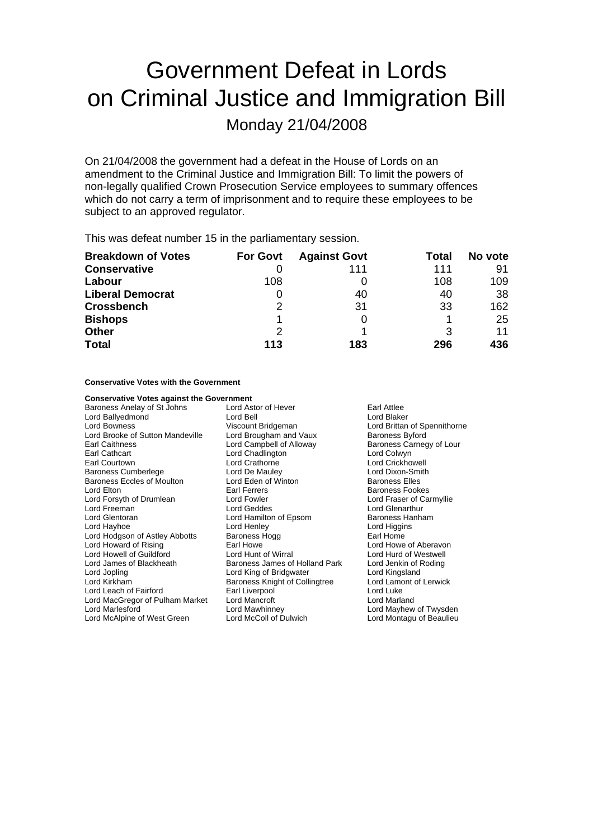## Government Defeat in Lords on Criminal Justice and Immigration Bill

Monday 21/04/2008

On 21/04/2008 the government had a defeat in the House of Lords on an amendment to the Criminal Justice and Immigration Bill: To limit the powers of non-legally qualified Crown Prosecution Service employees to summary offences which do not carry a term of imprisonment and to require these employees to be subject to an approved regulator.

This was defeat number 15 in the parliamentary session.

| <b>Breakdown of Votes</b> | <b>For Govt</b> | <b>Against Govt</b> | Total | No vote |
|---------------------------|-----------------|---------------------|-------|---------|
| <b>Conservative</b>       |                 | 111                 | 111   | 91      |
| Labour                    | 108             |                     | 108   | 109     |
| <b>Liberal Democrat</b>   |                 | 40                  | 40    | 38      |
| <b>Crossbench</b>         | 2               | 31                  | 33    | 162     |
| <b>Bishops</b>            |                 |                     |       | 25      |
| <b>Other</b>              | 2               |                     | 3     | 11      |
| <b>Total</b>              | 113             | 183                 | 296   | 436     |

## **Conservative Votes with the Government**

| <b>Conservative Votes against the Government</b> |                                |                              |  |
|--------------------------------------------------|--------------------------------|------------------------------|--|
| Baroness Anelay of St Johns                      | Lord Astor of Hever            | Earl Attlee                  |  |
| Lord Ballyedmond                                 | Lord Bell                      | Lord Blaker                  |  |
| Lord Bowness                                     | Viscount Bridgeman             | Lord Brittan of Spennithorne |  |
| Lord Brooke of Sutton Mandeville                 | Lord Brougham and Vaux         | <b>Baroness Byford</b>       |  |
| Earl Caithness                                   | Lord Campbell of Alloway       | Baroness Carnegy of Lour     |  |
| Earl Cathcart                                    | Lord Chadlington               | Lord Colwyn                  |  |
| Earl Courtown                                    | Lord Crathorne                 | Lord Crickhowell             |  |
| Baroness Cumberlege                              | Lord De Mauley                 | Lord Dixon-Smith             |  |
| <b>Baroness Eccles of Moulton</b>                | Lord Eden of Winton            | <b>Baroness Elles</b>        |  |
| Lord Elton                                       | Earl Ferrers                   | <b>Baroness Fookes</b>       |  |
| Lord Forsyth of Drumlean                         | Lord Fowler                    | Lord Fraser of Carmyllie     |  |
| Lord Freeman                                     | Lord Geddes                    | <b>Lord Glenarthur</b>       |  |
| Lord Glentoran                                   | Lord Hamilton of Epsom         | Baroness Hanham              |  |
| Lord Hayhoe                                      | Lord Henley                    | Lord Higgins                 |  |
| Lord Hodgson of Astley Abbotts                   | Baroness Hogg                  | Earl Home                    |  |
| Lord Howard of Rising                            | Earl Howe                      | Lord Howe of Aberavon        |  |
| Lord Howell of Guildford                         | Lord Hunt of Wirral            | Lord Hurd of Westwell        |  |
| Lord James of Blackheath                         | Baroness James of Holland Park | Lord Jenkin of Roding        |  |
| Lord Jopling                                     | Lord King of Bridgwater        | Lord Kingsland               |  |
| Lord Kirkham                                     | Baroness Knight of Collingtree | Lord Lamont of Lerwick       |  |
| Lord Leach of Fairford                           | Earl Liverpool                 | Lord Luke                    |  |
| Lord MacGregor of Pulham Market                  | Lord Mancroft                  | Lord Marland                 |  |
| Lord Marlesford                                  | Lord Mawhinney                 | Lord Mayhew of Twysden       |  |
| Lord McAlpine of West Green                      | Lord McColl of Dulwich         | Lord Montagu of Beaulieu     |  |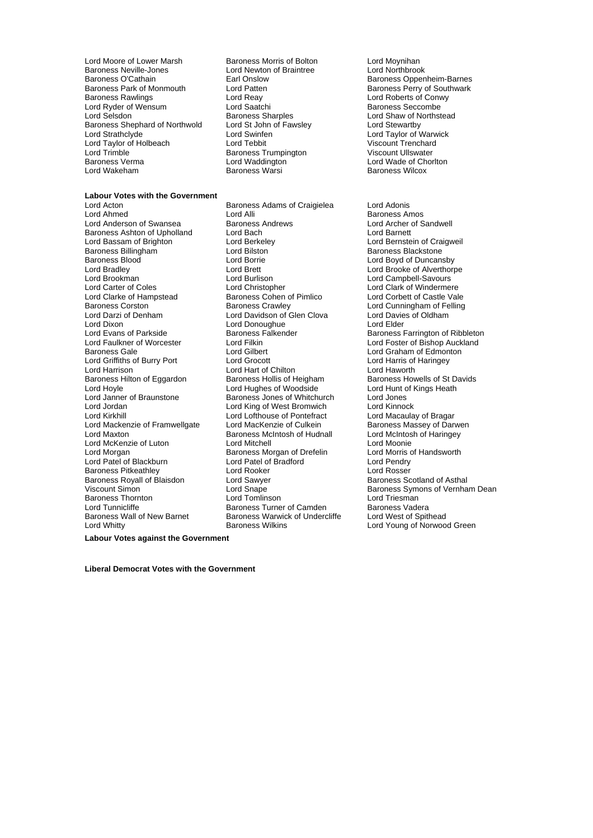Lord Moore of Lower Marsh **Baroness Morris of Bolton** Lord Moynihan<br>
Baroness Neville-Jones **Lord Newton of Braintree** Lord Northbrook Baroness Neville-Jones<br>
Baroness O'Cathain<br>
Earl Onslow Baroness O'Cathain Earl Onslow Baroness Oppenheim-Barnes Baroness Park of Monmouth Lord Patten **Baroness Party of Southwark**<br>
Lord Reay **Baroness Rawlings** Lord Conwy Lord Reay **Contains Lord Roberts of Conwy** Lord Ryder of Wensum<br>
Lord Selsdon<br>
Lord Selsdon<br>
Baroness Sharples Baroness Shephard of Northwold Lord St John<br>Lord Strathclyde Lord Swinfen Lord Taylor of Holbeach Lord Tebbit Lord Tenchard<br>
Lord Trimble Cord Trimble Cord Trimble Cord Trimble Viscount Ullswater Lord Trimble **Baroness Trumpington**<br>Baroness Verma **Baroness** Lord Waddington Baroness Verma Lord Waddington Lord Wade of Chorlton

Lord Reay **Lord Roberts of Conwy**<br> **Baroness Seccombe**<br> **Baroness Seccombe** Express Sharples<br>
Lord Shaw of Northstead<br>
Lord Stewartby<br>
Lord Stewartby<br>
Lord Stewartby Lord Swinfen **Lord Taylor of Warwick**<br>
Lord Tebbit **Lord Tenchard**<br>
Viscount Trenchard

**Labour Votes with the Government** Baroness Adams of Craigielea Lord Adonis Lord Ahmed **Lord Alli Lord Alli Lord Alli Lord And Baroness Amos**<br>
Lord Anderson of Swansea **Baroness Andrews Lord Archer of Sandwell** Lord Anderson of Swansea Baroness Andrews Cord Archer Cord Archer Cord Archer of Baroness Andrews Cord Barnett<br>Baroness Ashton of Upholland Lord Bach Baroness Ashton of Upholland Lord Bach<br>
Lord Bassam of Brighton Lord Berkeley Lord Bassam of Brighton Lord Berkeley Lord Bernstein of Craigweil Baroness Billingham **Example 2** Lord Bilston **Communist Communist Communist Communist Communist Communist Communist Communist Communist Communist Communist Communist Communist Communist Communist Communist Communist Commun** Baroness Blood Lord Borrie Lord Boyd of Duncansby Lord Bradley Lord Brett Lord Brooke of Alverthorpe Lord Brookman Lord Burlison Lord Campbell-Savours Lord Carter of Coles Lord Christopher Lord Christopher Lord Clark of Windermere<br>
Lord Clarke of Hampstead Baroness Cohen of Pimlico Lord Corbett of Castle Vale Lord Clarke of Hampstead Baroness Cohen of Pimlico<br>Baroness Corston Baroness Crawley Lord Darzi of Denham **Lord Davidson of Glen Clova** Lord Davies of Oldham<br>
Lord Dixon **Lord Davidson Cloument Lord Cloument Lord Elder** Lord Dixon Lord Donoughue<br>
Lord Evans of Parkside<br>
Baroness Falkender Lord Evans of Parkside **Baroness Falkender** Baroness Farrington of Ribbleton<br>Lord Faulkner of Worcester **Baroness Falkender** Baroness Farrington of Ribbleton Baroness Gale **Lord Gilbert** Lord Gilbert **Lord Graham of Edmonton**<br>
Lord Griffiths of Burry Port **Lord Grocott** Lord Grocott Lord Harris of Haringey Lord Griffiths of Burry Port Lord Grocott Lord Harris of Lord Harris of Lord Harris of Lord Harris of Lord Haventh Lord Hart of Chilton<br>Baroness Hollis of Heigham Baroness Hilton of Eggardon Baroness Hollis of Heigham Baroness Howells of St Davids<br>
Lord Howle Lord Hunt of Kings Heath<br>
Lord Howle Howle Lord Hunt of Kings Heath Lord Hoyle **Lord Hughes of Woodside** Lord Hunt conditional Lord Hunt Cord Hunt Cord Hunt Cord Hunt Cord Jones<br>Lord Janner of Braunstone **Baroness Jones of Whitchurch** Lord Jones Lord Janner of Braunstone **Baroness Jones of Whitchurch** Lord Jones<br>
Lord Jordan **Baroness Jones of West Bromwich** Lord Kinnock Lord King of West Bromwich Lord Kirkhill **Communist Continue Control** Lord Lofthouse of Pontefract Cord Macaulay of Bragar<br>Lord Mackenzie of Framwellgate Lord MacKenzie of Culkein **Baroness Massey of Darwen** Lord Mackenzie of Framwellgate Lord MacKenzie of Culkein<br>Lord Maxton Baroness McIntosh of Hudnall Lord Maxton Baroness McIntosh of Hudnall Lord McIntosh of Haringey Lord McKenzie of Luton Lord Mitchell Lord Mexican Lord Moonie<br>Lord Morgan Lord Morris of Handsworth Caroness Morgan of Drefelin Lord Morris of Handsworth **Baroness Morgan of Drefelin Lord Morris of Lord Patel of Bradford Corris Corris Corris Corris Corris Corris Corris Corris Corris Corris Corris Corris Corris Corris Corris Corris Corris Corris Corris Corris Corris Corris C** Lord Patel of Blackburn Lord Patel of Bradford Lord Pendry Baroness Pitkeathley **Lord Rooker**<br> **Baroness Royall of Blaisdon** Lord Sawyer Baroness Royall of Blaisdon and Lord Sawyer **Baroness Scotland of Asthal**<br>
Viscount Simon bland of Asthal Lord Snape **Baroness Symons of Vernha** Baroness Thornton **Exercise Senson Constructs** Lord Triesman<br>
Lord Tunnicliffe **Canadian Constructs** Baroness Turner of Camden Baroness Vadera Lord Tunnicliffe **Baroness Turner of Camden** Baroness Vadera<br>
Baroness Wall of New Barnet Baroness Warwick of Undercliffe Lord West of Spithead Baroness Warwick of Undercliffe<br>Baroness Wilkins

Baroness Wilcox

Lord Cunningham of Felling Lord Foster of Bishop Auckland Lord Snape<br>
I ord Tomlinson **Baroness Symons of Vernham Dean**<br>
I ord Triesman Lord Whitty Baroness Wilkins Lord Young of Norwood Green

**Labour Votes against the Government**

**Liberal Democrat Votes with the Government**